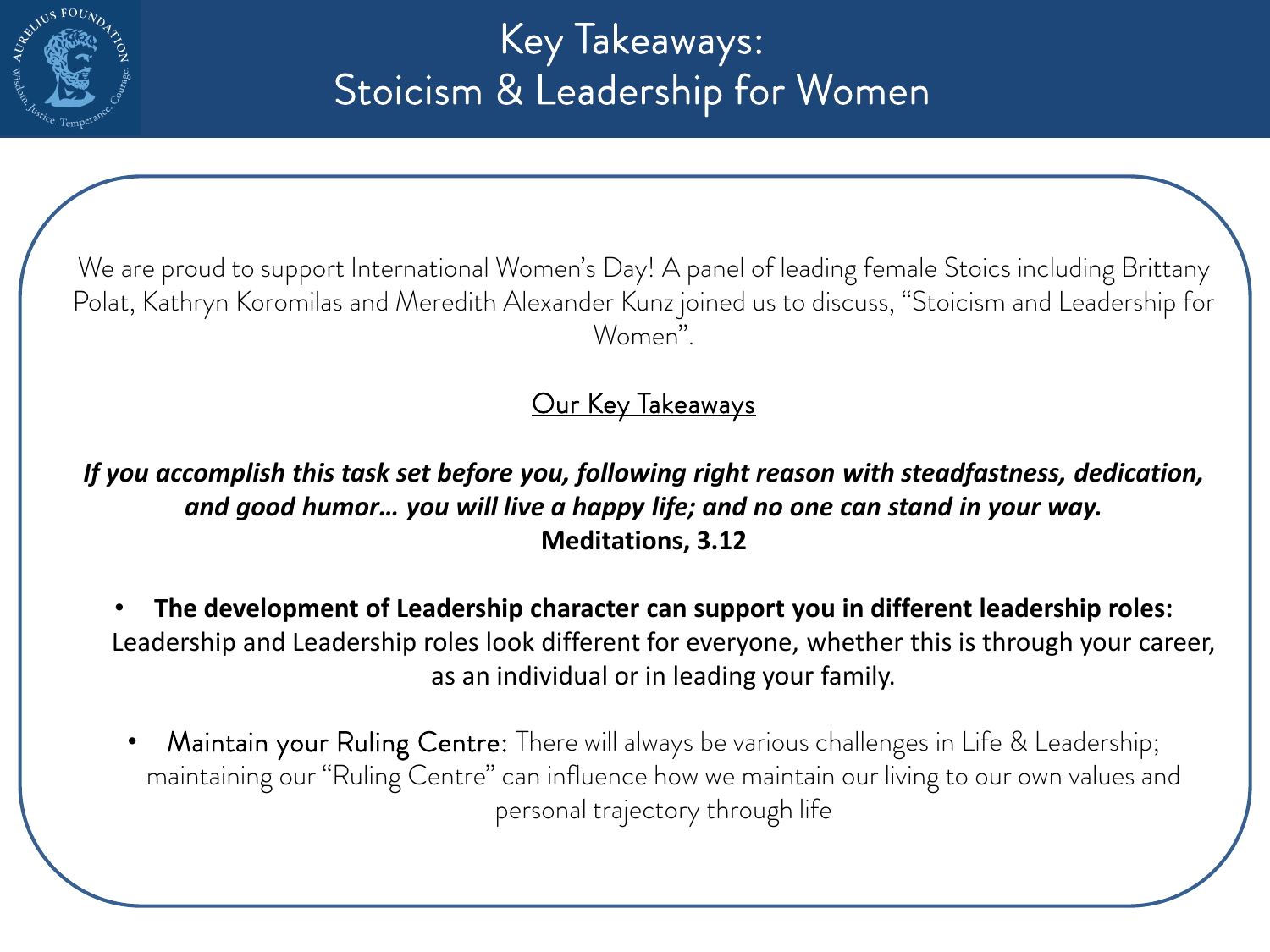

## Key Takeaways: Stoicism & Leadership for Women

We are proud to support International Women's Day! A panel of leading female Stoics including Brittany Polat, Kathryn Koromilas and Meredith Alexander Kunz joined us to discuss, "Stoicism and Leadership for Women".

Our Key Takeaways

*If you accomplish this task set before you, following right reason with steadfastness, dedication, and good humor… you will live a happy life; and no one can stand in your way.* **Meditations, 3.12**

• **The development of Leadership character can support you in different leadership roles:**  Leadership and Leadership roles look different for everyone, whether this is through your career, as an individual or in leading your family.

Maintain your Ruling Centre: There will always be various challenges in Life & Leadership; maintaining our "Ruling Centre" can influence how we maintain our living to our own values and personal trajectory through life